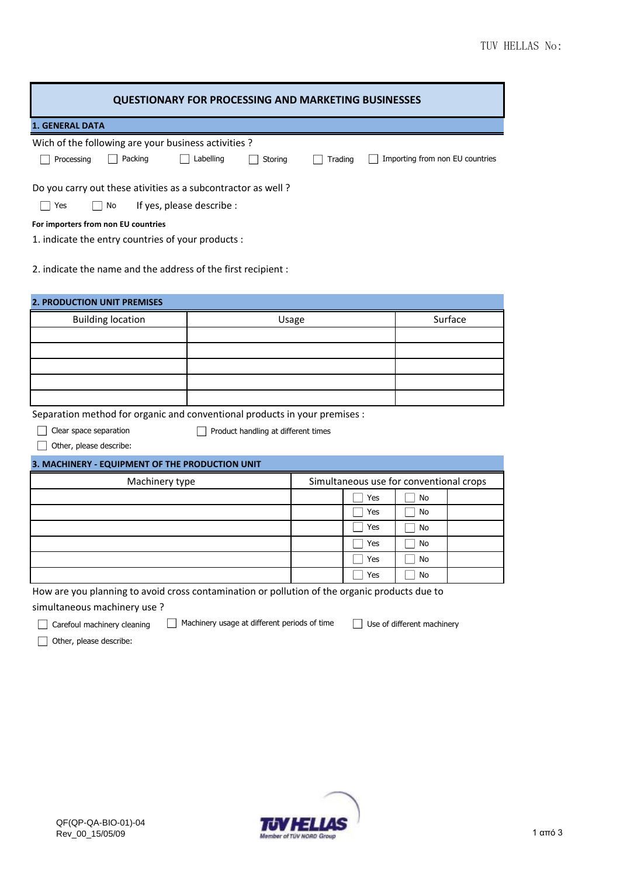| Trading<br>Do you carry out these ativities as a subcontractor as well? | Importing from non EU countries                                                                                                                                                                                                                                                                                               |
|-------------------------------------------------------------------------|-------------------------------------------------------------------------------------------------------------------------------------------------------------------------------------------------------------------------------------------------------------------------------------------------------------------------------|
|                                                                         |                                                                                                                                                                                                                                                                                                                               |
|                                                                         |                                                                                                                                                                                                                                                                                                                               |
|                                                                         |                                                                                                                                                                                                                                                                                                                               |
|                                                                         |                                                                                                                                                                                                                                                                                                                               |
|                                                                         |                                                                                                                                                                                                                                                                                                                               |
|                                                                         |                                                                                                                                                                                                                                                                                                                               |
|                                                                         |                                                                                                                                                                                                                                                                                                                               |
|                                                                         | Surface                                                                                                                                                                                                                                                                                                                       |
|                                                                         |                                                                                                                                                                                                                                                                                                                               |
|                                                                         |                                                                                                                                                                                                                                                                                                                               |
|                                                                         |                                                                                                                                                                                                                                                                                                                               |
|                                                                         |                                                                                                                                                                                                                                                                                                                               |
|                                                                         |                                                                                                                                                                                                                                                                                                                               |
|                                                                         |                                                                                                                                                                                                                                                                                                                               |
|                                                                         | <b>No</b>                                                                                                                                                                                                                                                                                                                     |
| Yes                                                                     | No                                                                                                                                                                                                                                                                                                                            |
| Yes                                                                     | No                                                                                                                                                                                                                                                                                                                            |
| Yes                                                                     | No                                                                                                                                                                                                                                                                                                                            |
| Yes                                                                     | No                                                                                                                                                                                                                                                                                                                            |
| Yes                                                                     | No                                                                                                                                                                                                                                                                                                                            |
|                                                                         | Use of different machinery                                                                                                                                                                                                                                                                                                    |
|                                                                         | Usage<br>Separation method for organic and conventional products in your premises :<br>Product handling at different times<br>Simultaneous use for conventional crops<br>Yes<br>How are you planning to avoid cross contamination or pollution of the organic products due to<br>Machinery usage at different periods of time |